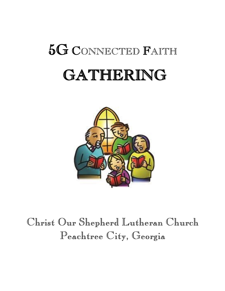# 5G <sup>C</sup>ONNECTED <sup>F</sup>AITH GATHERING



## Christ Our Shepherd Lutheran Church Peachtree City, Georgia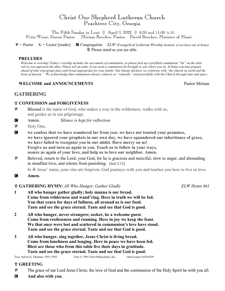### Christ Our Shepherd Lutheran Church Peachtree City, Georgia

The Fifth Sunday in Lent  $\frac{1}{11}$  April 3, 2022  $\frac{1}{11}$  8:30 and 11:00 A.M. Fritz Wiese, Senior Pastor Miriam Beecher, Pastor David Beecher, Minister of Music

P = Pastor L = Lector [reader] C Congregation *ELW=Evangelical Lutheran Worship (hymnal, if you have one at home)* Please stand as you are able.

#### **PRELUDES**

*Welcome to worship! Today's worship includes the sacrament of communion, so please pick up a prefilled communion "kit" on the altar rail as you approach the altar. Please tell an usher if you need a communion kit brought to you where you sit. At home you may prepare ahead of time wine/grape juice and bread appropriate for your family. Our liturgy declares we celebrate with "the church on earth and the hosts of heaven." We acknowledge that communion always connects us "remotely" and powerfully with the Church through time and space.* 

#### **WELCOME and ANNOUNCEMENTS** Pastor Miriam

#### **GATHERING**

#### **CONFESSION and FORGIVENESS**

- P Blessed is the name of God, who makes a way in the wilderness, walks with us, and guides us in our pilgrimage.
- C **Amen.** *Silence is kept for reflection.*
- **P** Holy One,
- C **we confess that we have wandered far from you: we have not trusted your promises, we have ignored your prophets in our own day, we have squandered our inheritance of grace, we have failed to recognize you in our midst. Have mercy on us! Forgive us and turn us again to you. Teach us to follow in your ways, assure us again of your love, and help us to love our neighbor. Amen.**
- P Beloved, return to the Lord, your God, for he is gracious and merciful, slow to anger, and abounding in steadfast love, and relents from punishing. [Joel 2:13]

In  $\pm$  Jesus' name, your sins are forgiven. God journeys with you and teaches you how to live in love.

C **Amen.**

#### **GATHERING HYMN:** *All Who Hunger, Gather Gladly ELW Hymn 461*

- **1 All who hunger gather gladly; holy manna is our bread. Come from wilderness and wand'ring. Here in truth we will be fed. You that yearn for days of fullness, all around us is our food. Taste and see the grace eternal. Taste and see that God is good.**
- **2 All who hunger, never strangers; seeker, be a welcome guest. Come from restlessness and roaming. Here in joy we keep the feast. We that once were lost and scattered in communion's love have stood. Taste and see the grace eternal. Taste and see that God is good.**
- **3 All who hunger, sing together, Jesus Christ is living bread. Come from loneliness and longing. Here in peace we have been fed. Blest are those who from this table live their days in gratitude. Taste and see the grace eternal. Taste and see that God is good.**

Text: Sylvia G. Dunstan, 1955-1993 Text © 1991 GIA Publications, Inc. OneLicense #A701929

#### **GREETING**

- **P** The grace of our Lord Jesus Christ, the love of God and the communion of the Holy Spirit be with you all.
- C **And also with you.**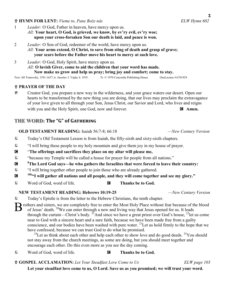#### **HYMN FOR LENT:** *Vieme to, Pane Bože nás ELW Hymn 602*

- 1 *Leader:* O God, Father in heaven, have mercy upon us. *All:* **Your heart, O God, is grieved, we know, by ev'ry evil, ev'ry woe; upon your cross-forsaken Son our death is laid, and peace is won.**
- 2 *Leader:* O Son of God, redeemer of the world, have mercy upon us. *All:* **Your arms extend, O Christ, to save from sting of death and grasp of grave; your scars before the Father move his heart to mercy at such love.**
- 3 *Leader:* O God, Holy Spirit, have mercy upon us. *All:* **O lavish Giver, come to aid the children that your word has made. Now make us grow and help us pray; bring joy and comfort; come to stay.**

Text: Jiřī Tranovský, 1591-1637; tr. Jaroslav J. Vajda, b. 1919 Tr. © 1970 Concordia Publishing House OneLicense #A701929

#### **PRAYER OF THE DAY**

P Creator God, you prepare a new way in the wilderness, and your grace waters our desert. Open our hearts to be transformed by the new thing you are doing, that our lives may proclaim the extravagance of your love given to all through your Son, Jesus Christ, our Savior and Lord, who lives and reigns with you and the Holy Spirit, one God, now and forever.  $\Box$  **Amen.** 

#### **THE WORD: The "G" of Gathering**

#### **OLD TESTAMENT READING:** Isaiah 56:7-8; 66:18 *—New Century Version*

- L Today's Old Testament Lesson is from Isaiah, the fifty-sixth and sixty-sixth chapters.
- L "I will bring these people to my holy mountain and give them joy in my house of prayer.
- C "**The offerings and sacrifices they place on my altar will please me,**
- L "because my Temple will be called a house for prayer for people from all nations."
- C **<sup>8</sup>The Lord God says—he who gathers the Israelites that were forced to leave their country:**
- L "I will bring together other people to join those who are already gathered.
- C **18b"I will gather all nations and all people, and they will come together and see my glory."**
- L Word of God, word of life. C **Thanks be to God.**

#### **NEW TESTAMENT READING: Hebrews 10:19-25** *—New Century Version*

L Today's Epistle is from the letter to the Hebrew Christians, the tenth chapter.

B rothers and sisters, we are completely free to enter the Most Holy Place without fear because of the blood of Jesus' death. <sup>20</sup>We can enter through a new and living way that Jesus opened for us. It leads of Jesus' death. <sup>20</sup>We can enter through a new and living way that Jesus opened for us. It leads through the curtain—Christ's body. <sup>21</sup>And since we have a great priest over God's house, <sup>22</sup>let us come near to God with a sincere heart and a sure faith, because we have been made free from a guilty conscience, and our bodies have been washed with pure water. <sup>23</sup>Let us hold firmly to the hope that we have confessed, because we can trust God to do what he promised.

<sup>24</sup>Let us think about each other and help each other to show love and do good deeds. <sup>25</sup>You should not stay away from the church meetings, as some are doing, but you should meet together and encourage each other. Do this even more as you see the day coming.

L Word of God, word of life. C **Thanks be to God.**

**GOSPEL ACCLAMATION:** *Let Your Steadfast Love Come to Us ELW page 103*

**Let your steadfast love come to us, O Lord. Save us as you promised; we will trust your word.**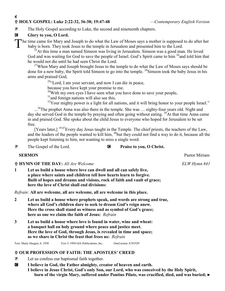#### 4 **HOLY GOSPEL: Luke 2:22-32, 36-38; 19:47-48** *—Contemporary English Version*

P The Holy Gospel according to Luke, the second and nineteenth chapters.

#### **G** Glory to you, O Lord.

The time came for Mary and Joseph to do what the Law of Moses says a mother is supposed to do after her baby is born. They took Jesus to the temple in Jerusalem and presented him to the Lord. baby is born. They took Jesus to the temple in Jerusalem and presented him to the Lord.

 $^{25}$ At this time a man named Simeon was living in Jerusalem. Simeon was a good man. He loved God and was waiting for God to save the people of Israel. God's Spirit came to him <sup>26</sup> and told him that he would not die until he had seen Christ the Lord.

 $27$ When Mary and Joseph brought Jesus to the temple to do what the Law of Moses says should be done for a new baby, the Spirit told Simeon to go into the temple. <sup>28</sup>Simeon took the baby Jesus in his arms and praised God,

<sup>29</sup>"Lord, I am your servant, and now I can die in peace,

because you have kept your promise to me.

 $30$ With my own eyes I have seen what you have done to save your people,

<sup>31</sup> and foreign nations will also see this.

 $32$ Your mighty power is a light for all nations, and it will bring honor to your people Israel."

...<sup>36</sup>The prophet Anna was also there in the temple. She was ... eighty-four years old. Night and day she served God in the temple by praying and often going without eating. <sup>38</sup>At that time Anna came in and praised God. She spoke about the child Jesus to everyone who hoped for Jerusalem to be set free.

[Years later,]  $19:47$  Every day Jesus taught in the Temple. The chief priests, the teachers of the Law, and the leaders of the people wanted to kill him, <sup>48</sup>but they could not find a way to do it, because all the people kept listening to him, not wanting to miss a single word.

**P** The Gospel of the Lord. **C Praise to you, O Christ.** 

#### **SERMON** Pastor Miriam

**f HYMN OF THE DAY:** *All Are Welcome* ELW Hymn 641

**1 Let us build a house where love can dwell and all can safely live, a place where saints and children tell how hearts learn to forgive. Built of hopes and dreams and visions, rock of faith and vault of grace; here the love of Christ shall end divisions:**

*Refrain:* **All are welcome, all are welcome, all are welcome in this place.**

- **2 Let us build a house where prophets speak, and words are strong and true, where all God's children dare to seek to dream God's reign anew. Here the cross shall stand as witness and as symbol of God's grace; here as one we claim the faith of Jesus:** *Refrain*
- **3 Let us build a house where love is found in water, wine and wheat: a banquet hall on holy ground where peace and justice meet. Here the love of God, through Jesus, is revealed in time and space; as we share in Christ the feast that frees us:** *Refrain*

Text: Marty Haugen, b. 1950 Text © 1994 GIA Publications, Inc. OneLicense A701929

#### **OUR PROFESSION OF FAITH: THE APOSTLES' CREED**

- P Let us confess our baptismal faith together.
- C **I believe in God, the Father almighty, creator of heaven and earth. I believe in Jesus Christ, God's only Son, our Lord, who was conceived by the Holy Spirit, born of the virgin Mary, suffered under Pontius Pilate, was crucified, died, and was buried;**  $\triangleright$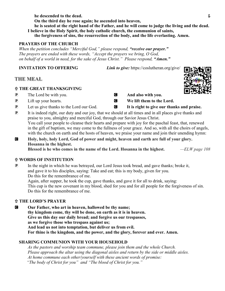*be descended to the dead.* 5 **On the third day he rose again; he ascended into heaven, he is seated at the right hand of the Father, and he will come to judge the living and the dead. I believe in the Holy Spirit, the holy catholic church, the communion of saints, the forgiveness of sins, the resurrection of the body, and the life everlasting. Amen.** 

#### **PRAYERS OF THE CHURCH**

 *When the petition concludes "Merciful God," please respond, "receive our prayer." The prayers are ended with these words, "Accept the prayers we bring, O God, on behalf of a world in need, for the sake of Jesus Christ." Please respond, "Amen."* 

 **INVITATION TO OFFERING** *Link to give:* https://coslutheran.org/give/

#### **THE MEAL**

#### **THE GREAT THANKSGIVING**

- **P** The Lord be with you. **C** And also with you.
- 
- P Let us give thanks to the Lord our God. C **It is right to give our thanks and praise.**
- 
- P Lift up your hearts. C **We lift them to the Lord.**

- P It is indeed right, our duty and our joy, that we should at all times and in all places give thanks and praise to you, almighty and merciful God, through our Savior Jesus Christ. You call your people to cleanse their hearts and prepare with joy for the paschal feast, that, renewed in the gift of baptism, we may come to the fullness of your grace. And so, with all the choirs of angels, with the church on earth and the hosts of heaven, we praise your name and join their unending hymn:
- C **Holy, holy, holy Lord, God of power and might, heaven and earth are full of your glory. Hosanna in the highest. Blessed is he who comes in the name of the Lord. Hosanna in the highest.** *—ELW page 108*

#### **WORDS OF INSTITUTION**

P In the night in which he was betrayed, our Lord Jesus took bread, and gave thanks; broke it, and gave it to his disciples, saying: Take and eat; this is my body, given for you. Do this for the remembrance of me. Again, after supper, he took the cup, gave thanks, and gave it for all to drink, saying: This cup is the new covenant in my blood, shed for you and for all people for the forgiveness of sin. Do this for the remembrance of me.

#### **THE LORD'S PRAYER**

C **Our Father, who art in heaven, hallowed be thy name; thy kingdom come, thy will be done, on earth as it is in heaven. Give us this day our daily bread; and forgive us our trespasses, as we forgive those who trespass against us; And lead us not into temptation, but deliver us from evil. For thine is the kingdom, and the power, and the glory, forever and ever. Amen.** 

#### **SHARING COMMUNION WITH YOUR HOUSEHOLD**

*As the pastors and worship team commune, please join them and the whole Church. Please approach the altar using the diagonal aisles and return by the side or middle aisles.*  *At home commune each other/yourself with these ancient words of promise: "The body of Christ for you" and "The blood of Christ for you."*